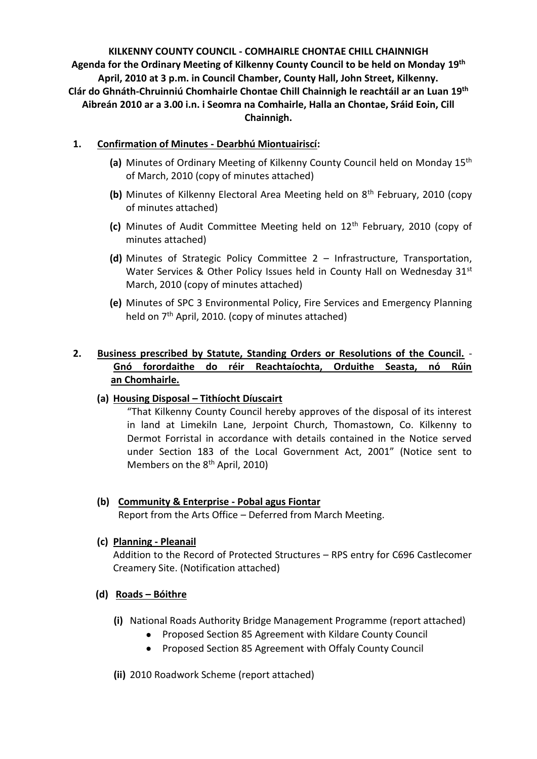**KILKENNY COUNTY COUNCIL - COMHAIRLE CHONTAE CHILL CHAINNIGH Agenda for the Ordinary Meeting of Kilkenny County Council to be held on Monday 19th April, 2010 at 3 p.m. in Council Chamber, County Hall, John Street, Kilkenny. Clár do Ghnáth-Chruinniú Chomhairle Chontae Chill Chainnigh le reachtáil ar an Luan 19th Aibreán 2010 ar a 3.00 i.n. i Seomra na Comhairle, Halla an Chontae, Sráid Eoin, Cill Chainnigh.**

## **1. Confirmation of Minutes - Dearbhú Miontuairiscí:**

- **(a)** Minutes of Ordinary Meeting of Kilkenny County Council held on Monday 15th of March, 2010 (copy of minutes attached)
- **(b)** Minutes of Kilkenny Electoral Area Meeting held on 8<sup>th</sup> February, 2010 (copy of minutes attached)
- **(c)** Minutes of Audit Committee Meeting held on 12th February, 2010 (copy of minutes attached)
- **(d)** Minutes of Strategic Policy Committee 2 Infrastructure, Transportation, Water Services & Other Policy Issues held in County Hall on Wednesday  $31<sup>st</sup>$ March, 2010 (copy of minutes attached)
- **(e)** Minutes of SPC 3 Environmental Policy, Fire Services and Emergency Planning held on  $7<sup>th</sup>$  April, 2010. (copy of minutes attached)

## **2. Business prescribed by Statute, Standing Orders or Resolutions of the Council.** - **Gnó forordaithe do réir Reachtaíochta, Orduithe Seasta, nó Rúin an Chomhairle.**

## **(a) Housing Disposal – Tithíocht Díuscairt**

"That Kilkenny County Council hereby approves of the disposal of its interest in land at Limekiln Lane, Jerpoint Church, Thomastown, Co. Kilkenny to Dermot Forristal in accordance with details contained in the Notice served under Section 183 of the Local Government Act, 2001" (Notice sent to Members on the 8<sup>th</sup> April, 2010)

# **(b) Community & Enterprise - Pobal agus Fiontar**

Report from the Arts Office – Deferred from March Meeting.

## **(c) Planning - Pleanail**

Addition to the Record of Protected Structures – RPS entry for C696 Castlecomer Creamery Site. (Notification attached)

## **(d) Roads – Bóithre**

- **(i)** National Roads Authority Bridge Management Programme (report attached)
	- Proposed Section 85 Agreement with Kildare County Council
	- Proposed Section 85 Agreement with Offaly County Council
- **(ii)** 2010 Roadwork Scheme (report attached)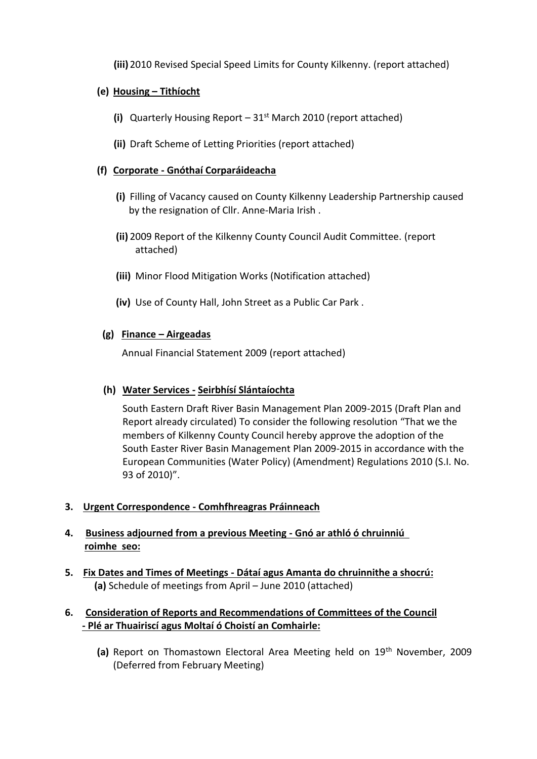**(iii)** 2010 Revised Special Speed Limits for County Kilkenny. (report attached)

## **(e) Housing – Tithíocht**

- **(i)** Quarterly Housing Report 31st March 2010 (report attached)
- **(ii)** Draft Scheme of Letting Priorities (report attached)

## **(f) Corporate - Gnóthaí Corparáideacha**

- **(i)** Filling of Vacancy caused on County Kilkenny Leadership Partnership caused by the resignation of Cllr. Anne-Maria Irish .
- **(ii)** 2009 Report of the Kilkenny County Council Audit Committee. (report attached)
- **(iii)** Minor Flood Mitigation Works (Notification attached)
- **(iv)** Use of County Hall, John Street as a Public Car Park .

## **(g) Finance – Airgeadas**

Annual Financial Statement 2009 (report attached)

#### **(h) Water Services - Seirbhísí Slántaíochta**

South Eastern Draft River Basin Management Plan 2009-2015 (Draft Plan and Report already circulated) To consider the following resolution "That we the members of Kilkenny County Council hereby approve the adoption of the South Easter River Basin Management Plan 2009-2015 in accordance with the European Communities (Water Policy) (Amendment) Regulations 2010 (S.I. No. 93 of 2010)".

#### **3. Urgent Correspondence - Comhfhreagras Práinneach**

## **4. Business adjourned from a previous Meeting - Gnó ar athló ó chruinniú roimhe seo:**

**5. Fix Dates and Times of Meetings - Dátaí agus Amanta do chruinnithe a shocrú: (a)** Schedule of meetings from April – June 2010 (attached)

## **6. Consideration of Reports and Recommendations of Committees of the Council - Plé ar Thuairiscí agus Moltaí ó Choistí an Comhairle:**

(a) Report on Thomastown Electoral Area Meeting held on 19<sup>th</sup> November, 2009 (Deferred from February Meeting)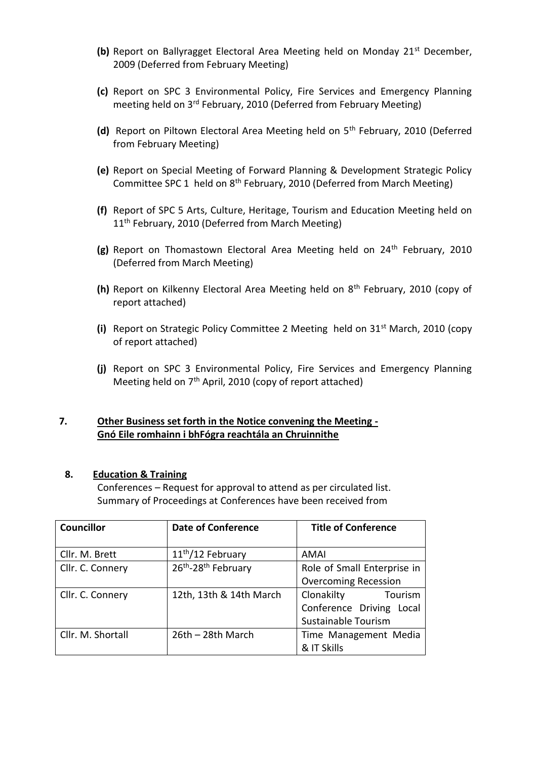- **(b)** Report on Ballyragget Electoral Area Meeting held on Monday 21<sup>st</sup> December, 2009 (Deferred from February Meeting)
- **(c)** Report on SPC 3 Environmental Policy, Fire Services and Emergency Planning meeting held on 3rd February, 2010 (Deferred from February Meeting)
- **(d)** Report on Piltown Electoral Area Meeting held on 5th February, 2010 (Deferred from February Meeting)
- **(e)** Report on Special Meeting of Forward Planning & Development Strategic Policy Committee SPC 1 held on 8<sup>th</sup> February, 2010 (Deferred from March Meeting)
- **(f)** Report of SPC 5 Arts, Culture, Heritage, Tourism and Education Meeting held on 11<sup>th</sup> February, 2010 (Deferred from March Meeting)
- (g) Report on Thomastown Electoral Area Meeting held on 24<sup>th</sup> February, 2010 (Deferred from March Meeting)
- **(h)** Report on Kilkenny Electoral Area Meeting held on 8th February, 2010 (copy of report attached)
- **(i)** Report on Strategic Policy Committee 2 Meeting held on 31st March, 2010 (copy of report attached)
- **(j)** Report on SPC 3 Environmental Policy, Fire Services and Emergency Planning Meeting held on 7<sup>th</sup> April, 2010 (copy of report attached)

## **7. Other Business set forth in the Notice convening the Meeting - Gnó Eile romhainn i bhFógra reachtála an Chruinnithe**

#### **8. Education & Training**

Conferences – Request for approval to attend as per circulated list. Summary of Proceedings at Conferences have been received from

| <b>Councillor</b> | <b>Date of Conference</b>     | <b>Title of Conference</b>  |
|-------------------|-------------------------------|-----------------------------|
|                   |                               |                             |
| Cllr. M. Brett    | 11 <sup>th</sup> /12 February | AMAI                        |
| Cllr. C. Connery  | 26th-28th February            | Role of Small Enterprise in |
|                   |                               | <b>Overcoming Recession</b> |
| Cllr. C. Connery  | 12th, 13th & 14th March       | Clonakilty<br>Tourism       |
|                   |                               | Conference Driving Local    |
|                   |                               | Sustainable Tourism         |
| Cllr. M. Shortall | 26th - 28th March             | Time Management Media       |
|                   |                               | & IT Skills                 |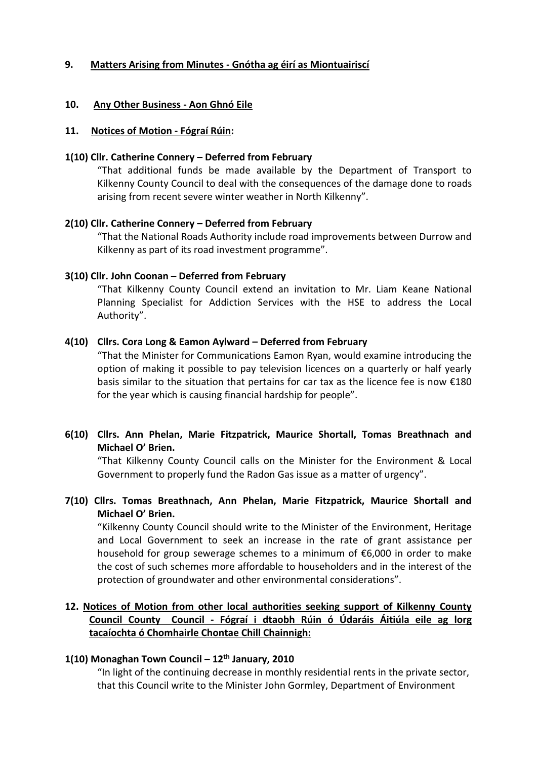## **9. Matters Arising from Minutes - Gnótha ag éirí as Miontuairiscí**

#### **10. Any Other Business - Aon Ghnó Eile**

#### **11. Notices of Motion - Fógraí Rúin:**

#### **1(10) Cllr. Catherine Connery – Deferred from February**

"That additional funds be made available by the Department of Transport to Kilkenny County Council to deal with the consequences of the damage done to roads arising from recent severe winter weather in North Kilkenny".

#### **2(10) Cllr. Catherine Connery – Deferred from February**

"That the National Roads Authority include road improvements between Durrow and Kilkenny as part of its road investment programme".

#### **3(10) Cllr. John Coonan – Deferred from February**

"That Kilkenny County Council extend an invitation to Mr. Liam Keane National Planning Specialist for Addiction Services with the HSE to address the Local Authority".

#### **4(10) Cllrs. Cora Long & Eamon Aylward – Deferred from February**

"That the Minister for Communications Eamon Ryan, would examine introducing the option of making it possible to pay television licences on a quarterly or half yearly basis similar to the situation that pertains for car tax as the licence fee is now  $£180$ for the year which is causing financial hardship for people".

## **6(10) Cllrs. Ann Phelan, Marie Fitzpatrick, Maurice Shortall, Tomas Breathnach and Michael O' Brien.**

"That Kilkenny County Council calls on the Minister for the Environment & Local Government to properly fund the Radon Gas issue as a matter of urgency".

## **7(10) Cllrs. Tomas Breathnach, Ann Phelan, Marie Fitzpatrick, Maurice Shortall and Michael O' Brien.**

"Kilkenny County Council should write to the Minister of the Environment, Heritage and Local Government to seek an increase in the rate of grant assistance per household for group sewerage schemes to a minimum of €6,000 in order to make the cost of such schemes more affordable to householders and in the interest of the protection of groundwater and other environmental considerations".

## **12. Notices of Motion from other local authorities seeking support of Kilkenny County Council County Council - Fógraí i dtaobh Rúin ó Údaráis Áitiúla eile ag lorg tacaíochta ó Chomhairle Chontae Chill Chainnigh:**

#### **1(10) Monaghan Town Council – 12th January, 2010**

"In light of the continuing decrease in monthly residential rents in the private sector, that this Council write to the Minister John Gormley, Department of Environment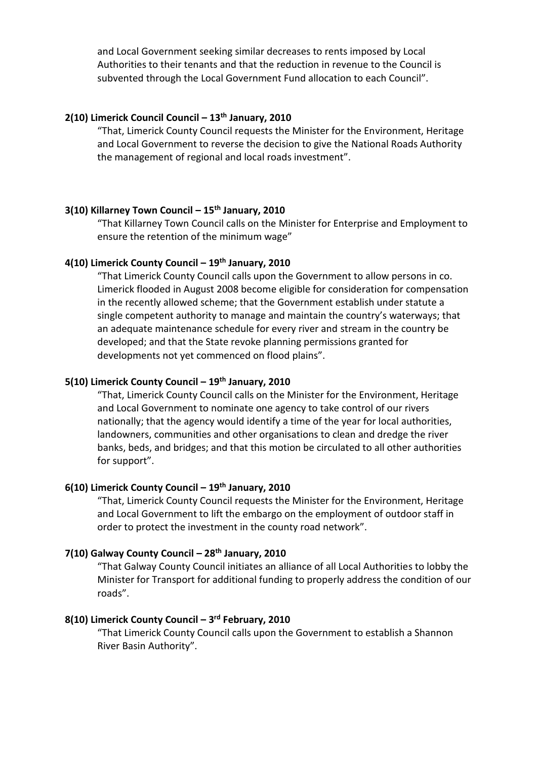and Local Government seeking similar decreases to rents imposed by Local Authorities to their tenants and that the reduction in revenue to the Council is subvented through the Local Government Fund allocation to each Council".

## **2(10) Limerick Council Council – 13th January, 2010**

"That, Limerick County Council requests the Minister for the Environment, Heritage and Local Government to reverse the decision to give the National Roads Authority the management of regional and local roads investment".

#### **3(10) Killarney Town Council – 15th January, 2010**

"That Killarney Town Council calls on the Minister for Enterprise and Employment to ensure the retention of the minimum wage"

### **4(10) Limerick County Council – 19th January, 2010**

"That Limerick County Council calls upon the Government to allow persons in co. Limerick flooded in August 2008 become eligible for consideration for compensation in the recently allowed scheme; that the Government establish under statute a single competent authority to manage and maintain the country's waterways; that an adequate maintenance schedule for every river and stream in the country be developed; and that the State revoke planning permissions granted for developments not yet commenced on flood plains".

## **5(10) Limerick County Council – 19th January, 2010**

"That, Limerick County Council calls on the Minister for the Environment, Heritage and Local Government to nominate one agency to take control of our rivers nationally; that the agency would identify a time of the year for local authorities, landowners, communities and other organisations to clean and dredge the river banks, beds, and bridges; and that this motion be circulated to all other authorities for support".

#### **6(10) Limerick County Council – 19th January, 2010**

"That, Limerick County Council requests the Minister for the Environment, Heritage and Local Government to lift the embargo on the employment of outdoor staff in order to protect the investment in the county road network".

## **7(10) Galway County Council – 28th January, 2010**

"That Galway County Council initiates an alliance of all Local Authorities to lobby the Minister for Transport for additional funding to properly address the condition of our roads".

#### **8(10) Limerick County Council – 3 rd February, 2010**

"That Limerick County Council calls upon the Government to establish a Shannon River Basin Authority".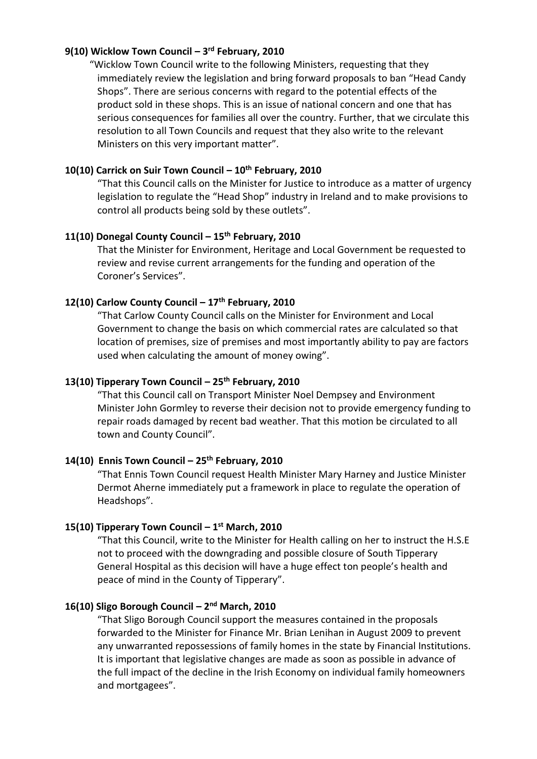### **9(10) Wicklow Town Council – 3 rd February, 2010**

 "Wicklow Town Council write to the following Ministers, requesting that they immediately review the legislation and bring forward proposals to ban "Head Candy Shops". There are serious concerns with regard to the potential effects of the product sold in these shops. This is an issue of national concern and one that has serious consequences for families all over the country. Further, that we circulate this resolution to all Town Councils and request that they also write to the relevant Ministers on this very important matter".

#### **10(10) Carrick on Suir Town Council – 10th February, 2010**

"That this Council calls on the Minister for Justice to introduce as a matter of urgency legislation to regulate the "Head Shop" industry in Ireland and to make provisions to control all products being sold by these outlets".

## **11(10) Donegal County Council – 15th February, 2010**

That the Minister for Environment, Heritage and Local Government be requested to review and revise current arrangements for the funding and operation of the Coroner's Services".

## **12(10) Carlow County Council – 17th February, 2010**

"That Carlow County Council calls on the Minister for Environment and Local Government to change the basis on which commercial rates are calculated so that location of premises, size of premises and most importantly ability to pay are factors used when calculating the amount of money owing".

## **13(10) Tipperary Town Council – 25th February, 2010**

"That this Council call on Transport Minister Noel Dempsey and Environment Minister John Gormley to reverse their decision not to provide emergency funding to repair roads damaged by recent bad weather. That this motion be circulated to all town and County Council".

#### **14(10) Ennis Town Council – 25th February, 2010**

"That Ennis Town Council request Health Minister Mary Harney and Justice Minister Dermot Aherne immediately put a framework in place to regulate the operation of Headshops".

#### **15(10) Tipperary Town Council – 1 st March, 2010**

"That this Council, write to the Minister for Health calling on her to instruct the H.S.E not to proceed with the downgrading and possible closure of South Tipperary General Hospital as this decision will have a huge effect ton people's health and peace of mind in the County of Tipperary".

#### **16(10) Sligo Borough Council – 2 nd March, 2010**

"That Sligo Borough Council support the measures contained in the proposals forwarded to the Minister for Finance Mr. Brian Lenihan in August 2009 to prevent any unwarranted repossessions of family homes in the state by Financial Institutions. It is important that legislative changes are made as soon as possible in advance of the full impact of the decline in the Irish Economy on individual family homeowners and mortgagees".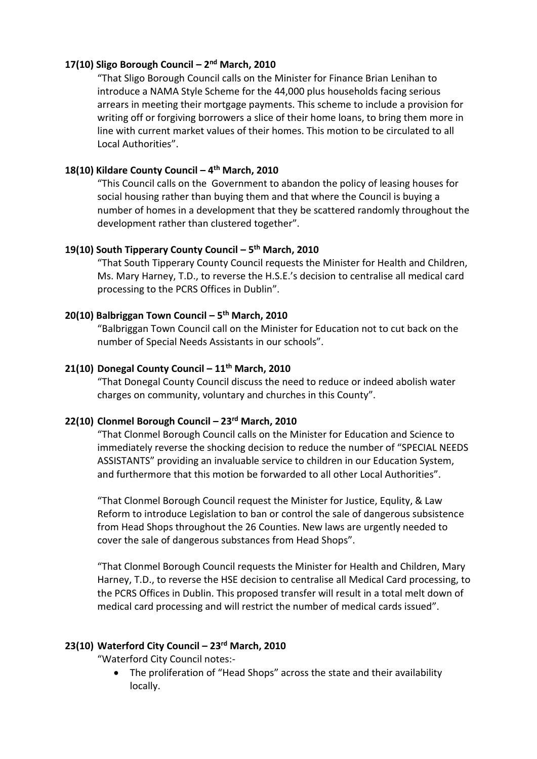## **17(10) Sligo Borough Council – 2 nd March, 2010**

"That Sligo Borough Council calls on the Minister for Finance Brian Lenihan to introduce a NAMA Style Scheme for the 44,000 plus households facing serious arrears in meeting their mortgage payments. This scheme to include a provision for writing off or forgiving borrowers a slice of their home loans, to bring them more in line with current market values of their homes. This motion to be circulated to all Local Authorities".

## **18(10) Kildare County Council – 4 th March, 2010**

"This Council calls on the Government to abandon the policy of leasing houses for social housing rather than buying them and that where the Council is buying a number of homes in a development that they be scattered randomly throughout the development rather than clustered together".

## **19(10) South Tipperary County Council – 5 th March, 2010**

"That South Tipperary County Council requests the Minister for Health and Children, Ms. Mary Harney, T.D., to reverse the H.S.E.'s decision to centralise all medical card processing to the PCRS Offices in Dublin".

## **20(10) Balbriggan Town Council – 5 th March, 2010**

"Balbriggan Town Council call on the Minister for Education not to cut back on the number of Special Needs Assistants in our schools".

## **21(10) Donegal County Council – 11th March, 2010**

"That Donegal County Council discuss the need to reduce or indeed abolish water charges on community, voluntary and churches in this County".

## **22(10) Clonmel Borough Council – 23rd March, 2010**

"That Clonmel Borough Council calls on the Minister for Education and Science to immediately reverse the shocking decision to reduce the number of "SPECIAL NEEDS ASSISTANTS" providing an invaluable service to children in our Education System, and furthermore that this motion be forwarded to all other Local Authorities".

"That Clonmel Borough Council request the Minister for Justice, Equlity, & Law Reform to introduce Legislation to ban or control the sale of dangerous subsistence from Head Shops throughout the 26 Counties. New laws are urgently needed to cover the sale of dangerous substances from Head Shops".

"That Clonmel Borough Council requests the Minister for Health and Children, Mary Harney, T.D., to reverse the HSE decision to centralise all Medical Card processing, to the PCRS Offices in Dublin. This proposed transfer will result in a total melt down of medical card processing and will restrict the number of medical cards issued".

#### **23(10) Waterford City Council – 23rd March, 2010**

"Waterford City Council notes:-

• The proliferation of "Head Shops" across the state and their availability locally.